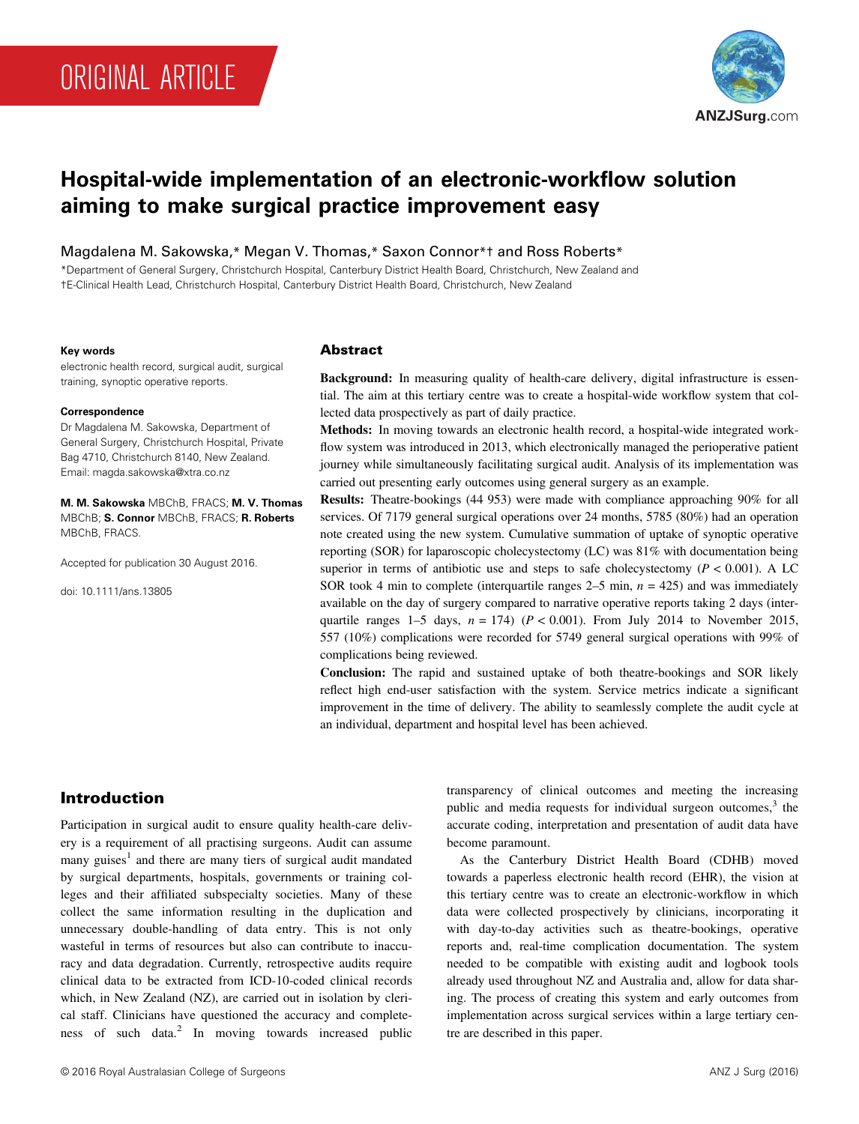# ORIGINAL ARTICLE



# **Hospital-wide implementation of an electronic-workflow solution aiming to make surgical practice improvement easy**

Magdalena M. Sakowska,\* Megan V. Thomas,\* Saxon Connor\*† and Ross Roberts\*

\*Department of General Surgery, Christchurch Hospital, Canterbury District Health Board, Christchurch, New Zealand and †E-Clinical Health Lead, Christchurch Hospital, Canterbury District Health Board, Christchurch, New Zealand

#### **Key words**

electronic health record, surgical audit, surgical training, synoptic operative reports.

#### **Correspondence**

Dr Magdalena M. Sakowska, Department of General Surgery, Christchurch Hospital, Private Bag 4710, Christchurch 8140, New Zealand. Email: magda.sakowska@xtra.co.nz

**M. M. Sakowska** MBChB, FRACS; **M. V. Thomas** MBChB; **S. Connor** MBChB, FRACS; **R. Roberts** MBChB, FRACS.

Accepted for publication 30 August 2016.

doi: 10.1111/ans.13805

### Abstract

**Background:** In measuring quality of health-care delivery, digital infrastructure is essential. The aim at this tertiary centre was to create a hospital-wide workflow system that collected data prospectively as part of daily practice.

**Methods:** In moving towards an electronic health record, a hospital-wide integrated workflow system was introduced in 2013, which electronically managed the perioperative patient journey while simultaneously facilitating surgical audit. Analysis of its implementation was carried out presenting early outcomes using general surgery as an example.

**Results:** Theatre-bookings (44 953) were made with compliance approaching 90% for all services. Of 7179 general surgical operations over 24 months, 5785 (80%) had an operation note created using the new system. Cumulative summation of uptake of synoptic operative reporting (SOR) for laparoscopic cholecystectomy (LC) was 81% with documentation being superior in terms of antibiotic use and steps to safe cholecystectomy  $(P < 0.001)$ . A LC SOR took 4 min to complete (interquartile ranges 2–5 min, *n* = 425) and was immediately available on the day of surgery compared to narrative operative reports taking 2 days (interquartile ranges 1–5 days,  $n = 174$ ) ( $P < 0.001$ ). From July 2014 to November 2015, 557 (10%) complications were recorded for 5749 general surgical operations with 99% of complications being reviewed.

**Conclusion:** The rapid and sustained uptake of both theatre-bookings and SOR likely reflect high end-user satisfaction with the system. Service metrics indicate a significant improvement in the time of delivery. The ability to seamlessly complete the audit cycle at an individual, department and hospital level has been achieved.

# Introduction

Participation in surgical audit to ensure quality health-care delivery is a requirement of all practising surgeons. Audit can assume many guises<sup>1</sup> and there are many tiers of surgical audit mandated by surgical departments, hospitals, governments or training colleges and their affiliated subspecialty societies. Many of these collect the same information resulting in the duplication and unnecessary double-handling of data entry. This is not only wasteful in terms of resources but also can contribute to inaccuracy and data degradation. Currently, retrospective audits require clinical data to be extracted from ICD-10-coded clinical records which, in New Zealand (NZ), are carried out in isolation by clerical staff. Clinicians have questioned the accuracy and completeness of such data.<sup>2</sup> In moving towards increased public

transparency of clinical outcomes and meeting the increasing public and media requests for individual surgeon outcomes, $3$  the accurate coding, interpretation and presentation of audit data have become paramount.

As the Canterbury District Health Board (CDHB) moved towards a paperless electronic health record (EHR), the vision at this tertiary centre was to create an electronic-workflow in which data were collected prospectively by clinicians, incorporating it with day-to-day activities such as theatre-bookings, operative reports and, real-time complication documentation. The system needed to be compatible with existing audit and logbook tools already used throughout NZ and Australia and, allow for data sharing. The process of creating this system and early outcomes from implementation across surgical services within a large tertiary centre are described in this paper.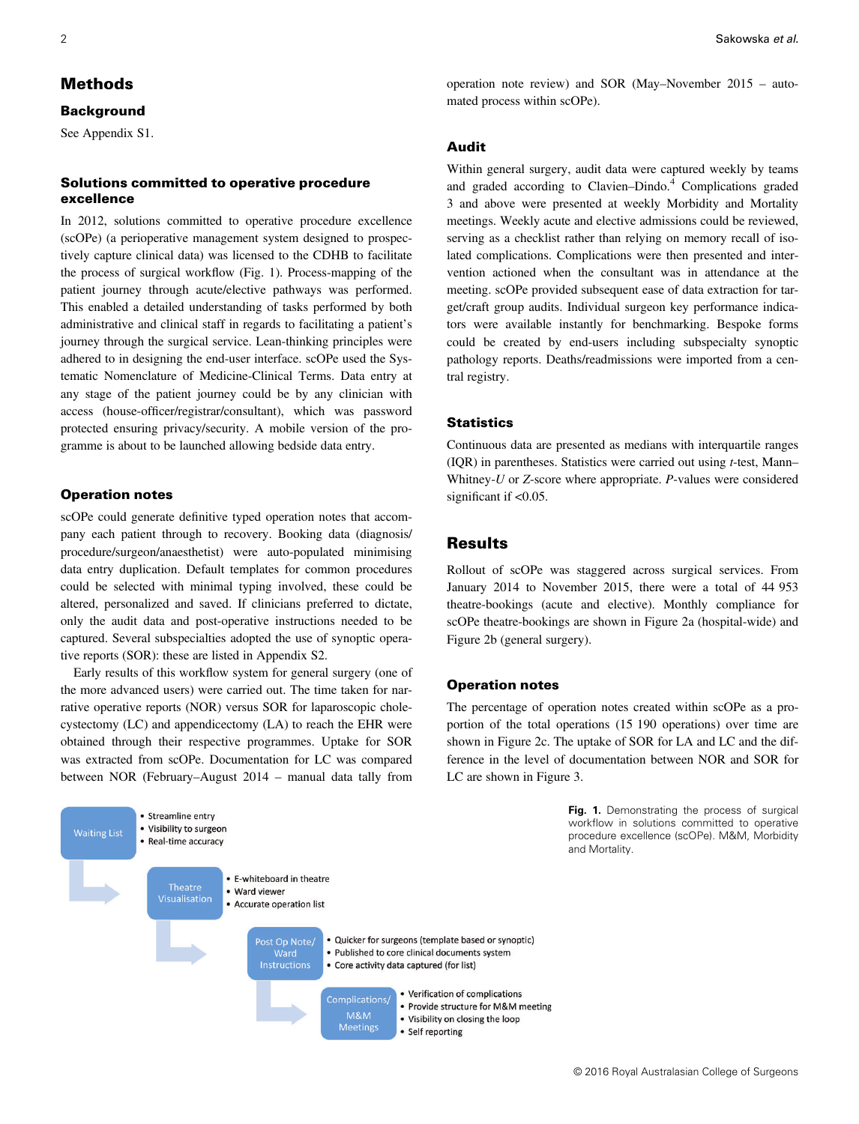# Methods

#### **Background**

See Appendix S1.

## Solutions committed to operative procedure excellence

In 2012, solutions committed to operative procedure excellence (scOPe) (a perioperative management system designed to prospectively capture clinical data) was licensed to the CDHB to facilitate the process of surgical workflow (Fig. 1). Process-mapping of the patient journey through acute/elective pathways was performed. This enabled a detailed understanding of tasks performed by both administrative and clinical staff in regards to facilitating a patient's journey through the surgical service. Lean-thinking principles were adhered to in designing the end-user interface. scOPe used the Systematic Nomenclature of Medicine-Clinical Terms. Data entry at any stage of the patient journey could be by any clinician with access (house-officer/registrar/consultant), which was password protected ensuring privacy/security. A mobile version of the programme is about to be launched allowing bedside data entry.

#### Operation notes

scOPe could generate definitive typed operation notes that accompany each patient through to recovery. Booking data (diagnosis/ procedure/surgeon/anaesthetist) were auto-populated minimising data entry duplication. Default templates for common procedures could be selected with minimal typing involved, these could be altered, personalized and saved. If clinicians preferred to dictate, only the audit data and post-operative instructions needed to be captured. Several subspecialties adopted the use of synoptic operative reports (SOR): these are listed in Appendix S2.

Early results of this workflow system for general surgery (one of the more advanced users) were carried out. The time taken for narrative operative reports (NOR) versus SOR for laparoscopic cholecystectomy (LC) and appendicectomy (LA) to reach the EHR were obtained through their respective programmes. Uptake for SOR was extracted from scOPe. Documentation for LC was compared between NOR (February–August 2014 – manual data tally from



operation note review) and SOR (May–November 2015 – automated process within scOPe).

#### Audit

Within general surgery, audit data were captured weekly by teams and graded according to Clavien–Dindo.<sup>4</sup> Complications graded 3 and above were presented at weekly Morbidity and Mortality meetings. Weekly acute and elective admissions could be reviewed, serving as a checklist rather than relying on memory recall of isolated complications. Complications were then presented and intervention actioned when the consultant was in attendance at the meeting. scOPe provided subsequent ease of data extraction for target/craft group audits. Individual surgeon key performance indicators were available instantly for benchmarking. Bespoke forms could be created by end-users including subspecialty synoptic pathology reports. Deaths/readmissions were imported from a central registry.

#### **Statistics**

Continuous data are presented as medians with interquartile ranges (IQR) in parentheses. Statistics were carried out using *t*-test, Mann– Whitney-*U* or *Z*-score where appropriate. *P*-values were considered significant if  $<$ 0.05.

# **Results**

Rollout of scOPe was staggered across surgical services. From January 2014 to November 2015, there were a total of 44 953 theatre-bookings (acute and elective). Monthly compliance for scOPe theatre-bookings are shown in Figure 2a (hospital-wide) and Figure 2b (general surgery).

#### Operation notes

The percentage of operation notes created within scOPe as a proportion of the total operations (15 190 operations) over time are shown in Figure 2c. The uptake of SOR for LA and LC and the difference in the level of documentation between NOR and SOR for LC are shown in Figure 3.

> **Fig. 1.** Demonstrating the process of surgical workflow in solutions committed to operative procedure excellence (scOPe). M&M, Morbidity and Mortality.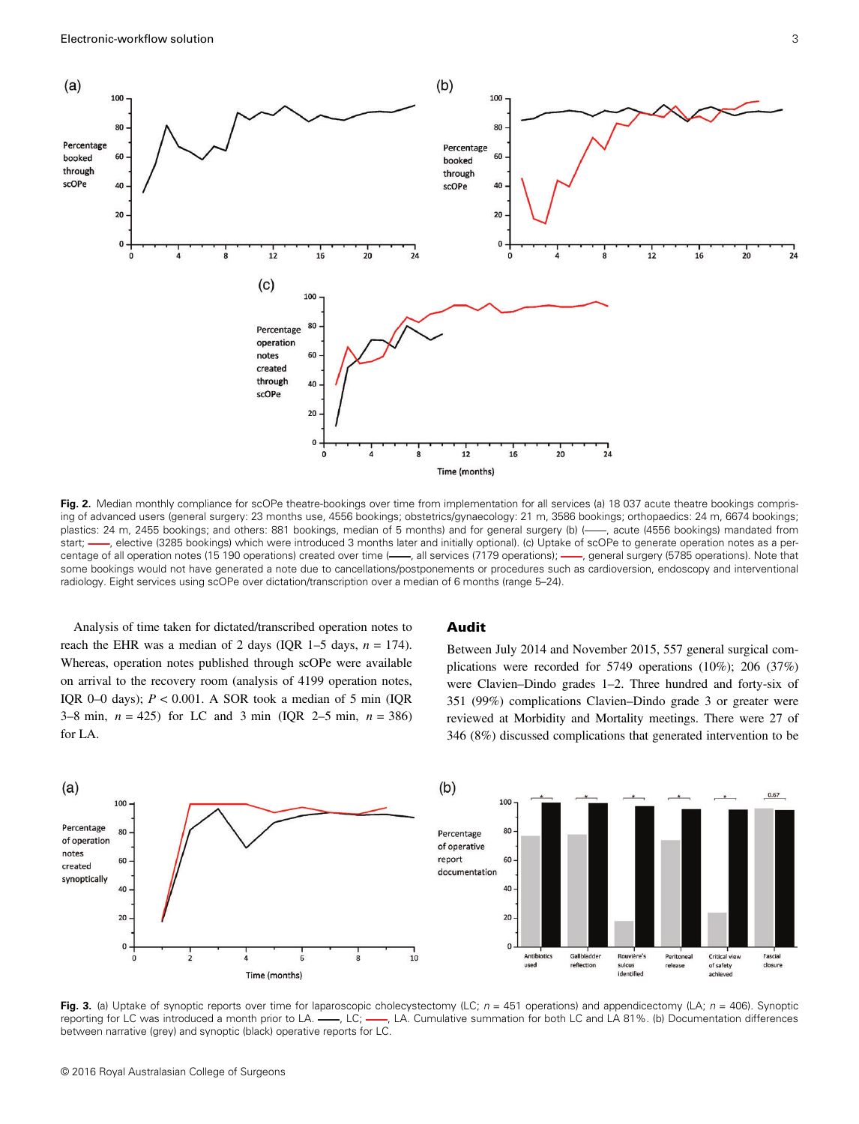

Fig. 2. Median monthly compliance for scOPe theatre-bookings over time from implementation for all services (a) 18 037 acute theatre bookings comprising of advanced users (general surgery: 23 months use, 4556 bookings; obstetrics/gynaecology: 21 m, 3586 bookings; orthopaedics: 24 m, 6674 bookings; plastics: 24 m, 2455 bookings; and others: 881 bookings, median of 5 months) and for general surgery (b) (-, acute (4556 bookings) mandated from start; -, elective (3285 bookings) which were introduced 3 months later and initially optional). (c) Uptake of scOPe to generate operation notes as a percentage of all operation notes (15 190 operations) created over time (-, all services (7179 operations); -, general surgery (5785 operations). Note that some bookings would not have generated a note due to cancellations/postponements or procedures such as cardioversion, endoscopy and interventional radiology. Eight services using scOPe over dictation/transcription over a median of 6 months (range 5–24).

Analysis of time taken for dictated/transcribed operation notes to reach the EHR was a median of 2 days (IQR 1–5 days,  $n = 174$ ). Whereas, operation notes published through scOPe were available on arrival to the recovery room (analysis of 4199 operation notes, IQR 0–0 days);  $P < 0.001$ . A SOR took a median of 5 min (IQR 3–8 min, *n* = 425) for LC and 3 min (IQR 2–5 min, *n* = 386) for LA.

#### Audit

Between July 2014 and November 2015, 557 general surgical complications were recorded for 5749 operations (10%); 206 (37%) were Clavien–Dindo grades 1–2. Three hundred and forty-six of 351 (99%) complications Clavien–Dindo grade 3 or greater were reviewed at Morbidity and Mortality meetings. There were 27 of 346 (8%) discussed complications that generated intervention to be



**Fig. 3.** (a) Uptake of synoptic reports over time for laparoscopic cholecystectomy (LC; *n* = 451 operations) and appendicectomy (LA; *n* = 406). Synoptic reporting for LC was introduced a month prior to LA. -, LC; -, LA. Cumulative summation for both LC and LA 81%. (b) Documentation differences between narrative (grey) and synoptic (black) operative reports for LC.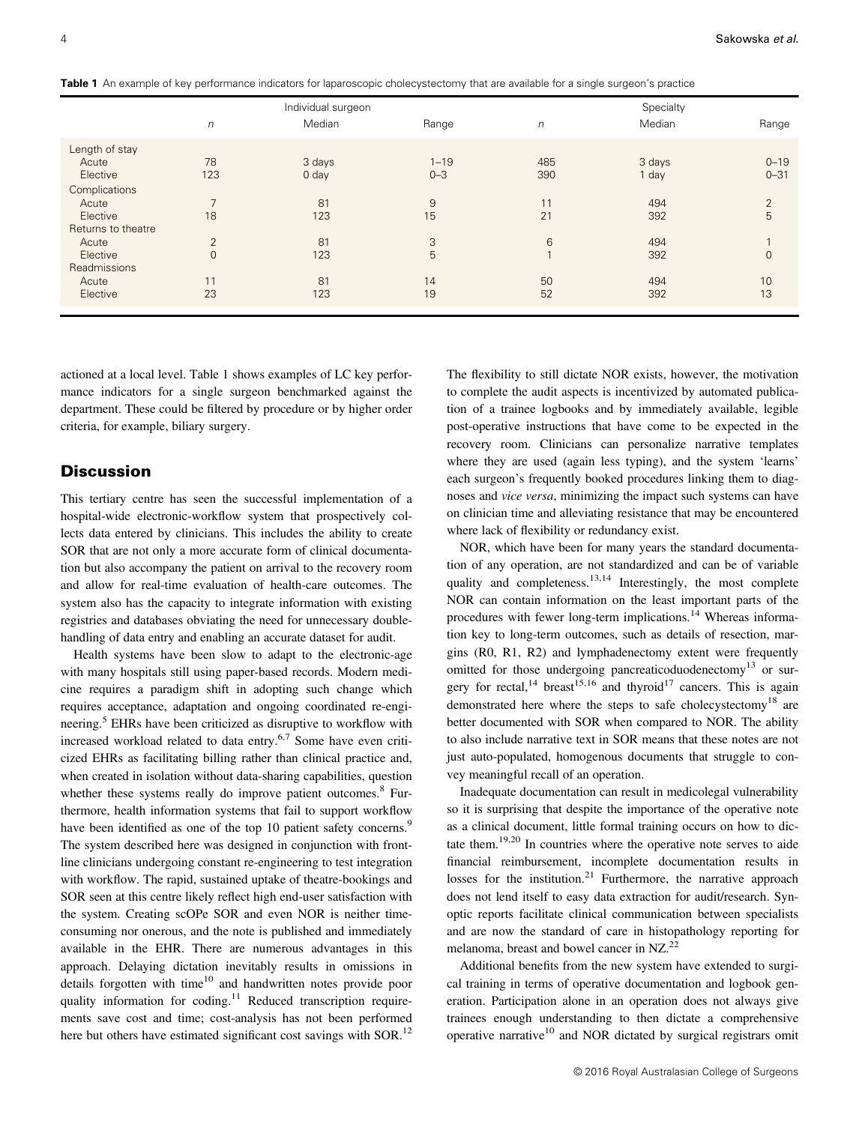**Table 1** An example of key performance indicators for laparoscopic cholecystectomy that are available for a single surgeon's practice

|                    | Individual surgeon       |                  |          | Specialty    |        |                |
|--------------------|--------------------------|------------------|----------|--------------|--------|----------------|
|                    | $\sqrt{n}$               | Median           | Range    | $\sqrt{n}$   | Median | Range          |
| Length of stay     |                          |                  |          |              |        |                |
| Acute              | 78                       | 3 days           | $1 - 19$ | 485          | 3 days | $0 - 19$       |
| Elective           | 123                      | 0 <sub>day</sub> | $0 - 3$  | 390          | 1 day  | $0 - 31$       |
| Complications      |                          |                  |          |              |        |                |
| Acute              | $\overline{\phantom{1}}$ | 81               | 9        | 11           | 494    | $\overline{2}$ |
| Elective           | 18                       | 123              | 15       | 21           | 392    | 5              |
| Returns to theatre |                          |                  |          |              |        |                |
| Acute              | 2                        | 81               | 3        | 6            | 494    |                |
| Elective           | $\mathbf{0}$             | 123              | 5        | $\mathbf{1}$ | 392    | $\mathbf{0}$   |
| Readmissions       |                          |                  |          |              |        |                |
| Acute              | 11                       | 81               | 14       | 50           | 494    | 10             |
| Elective           | 23                       | 123              | 19       | 52           | 392    | 13             |
|                    |                          |                  |          |              |        |                |

actioned at a local level. Table 1 shows examples of LC key performance indicators for a single surgeon benchmarked against the department. These could be filtered by procedure or by higher order criteria, for example, biliary surgery.

# **Discussion**

This tertiary centre has seen the successful implementation of a hospital-wide electronic-workflow system that prospectively collects data entered by clinicians. This includes the ability to create SOR that are not only a more accurate form of clinical documentation but also accompany the patient on arrival to the recovery room and allow for real-time evaluation of health-care outcomes. The system also has the capacity to integrate information with existing registries and databases obviating the need for unnecessary doublehandling of data entry and enabling an accurate dataset for audit.

Health systems have been slow to adapt to the electronic-age with many hospitals still using paper-based records. Modern medicine requires a paradigm shift in adopting such change which requires acceptance, adaptation and ongoing coordinated re-engineering.5 EHRs have been criticized as disruptive to workflow with increased workload related to data entry.6,7 Some have even criticized EHRs as facilitating billing rather than clinical practice and, when created in isolation without data-sharing capabilities, question whether these systems really do improve patient outcomes.<sup>8</sup> Furthermore, health information systems that fail to support workflow have been identified as one of the top 10 patient safety concerns.<sup>9</sup> The system described here was designed in conjunction with frontline clinicians undergoing constant re-engineering to test integration with workflow. The rapid, sustained uptake of theatre-bookings and SOR seen at this centre likely reflect high end-user satisfaction with the system. Creating scOPe SOR and even NOR is neither timeconsuming nor onerous, and the note is published and immediately available in the EHR. There are numerous advantages in this approach. Delaying dictation inevitably results in omissions in details forgotten with time<sup>10</sup> and handwritten notes provide poor quality information for coding.<sup>11</sup> Reduced transcription requirements save cost and time; cost-analysis has not been performed here but others have estimated significant cost savings with SOR.<sup>12</sup>

The flexibility to still dictate NOR exists, however, the motivation to complete the audit aspects is incentivized by automated publication of a trainee logbooks and by immediately available, legible post-operative instructions that have come to be expected in the recovery room. Clinicians can personalize narrative templates where they are used (again less typing), and the system 'learns' each surgeon's frequently booked procedures linking them to diagnoses and *vice versa*, minimizing the impact such systems can have on clinician time and alleviating resistance that may be encountered where lack of flexibility or redundancy exist.

NOR, which have been for many years the standard documentation of any operation, are not standardized and can be of variable quality and completeness.<sup>13,14</sup> Interestingly, the most complete NOR can contain information on the least important parts of the procedures with fewer long-term implications.<sup>14</sup> Whereas information key to long-term outcomes, such as details of resection, margins (R0, R1, R2) and lymphadenectomy extent were frequently omitted for those undergoing pancreaticoduodenectomy<sup>13</sup> or surgery for rectal,<sup>14</sup> breast<sup>15,16</sup> and thyroid<sup>17</sup> cancers. This is again demonstrated here where the steps to safe cholecystectomy<sup>18</sup> are better documented with SOR when compared to NOR. The ability to also include narrative text in SOR means that these notes are not just auto-populated, homogenous documents that struggle to convey meaningful recall of an operation.

Inadequate documentation can result in medicolegal vulnerability so it is surprising that despite the importance of the operative note as a clinical document, little formal training occurs on how to dictate them.19,20 In countries where the operative note serves to aide financial reimbursement, incomplete documentation results in losses for the institution.<sup>21</sup> Furthermore, the narrative approach does not lend itself to easy data extraction for audit/research. Synoptic reports facilitate clinical communication between specialists and are now the standard of care in histopathology reporting for melanoma, breast and bowel cancer in NZ.<sup>22</sup>

Additional benefits from the new system have extended to surgical training in terms of operative documentation and logbook generation. Participation alone in an operation does not always give trainees enough understanding to then dictate a comprehensive operative narrative $10$  and NOR dictated by surgical registrars omit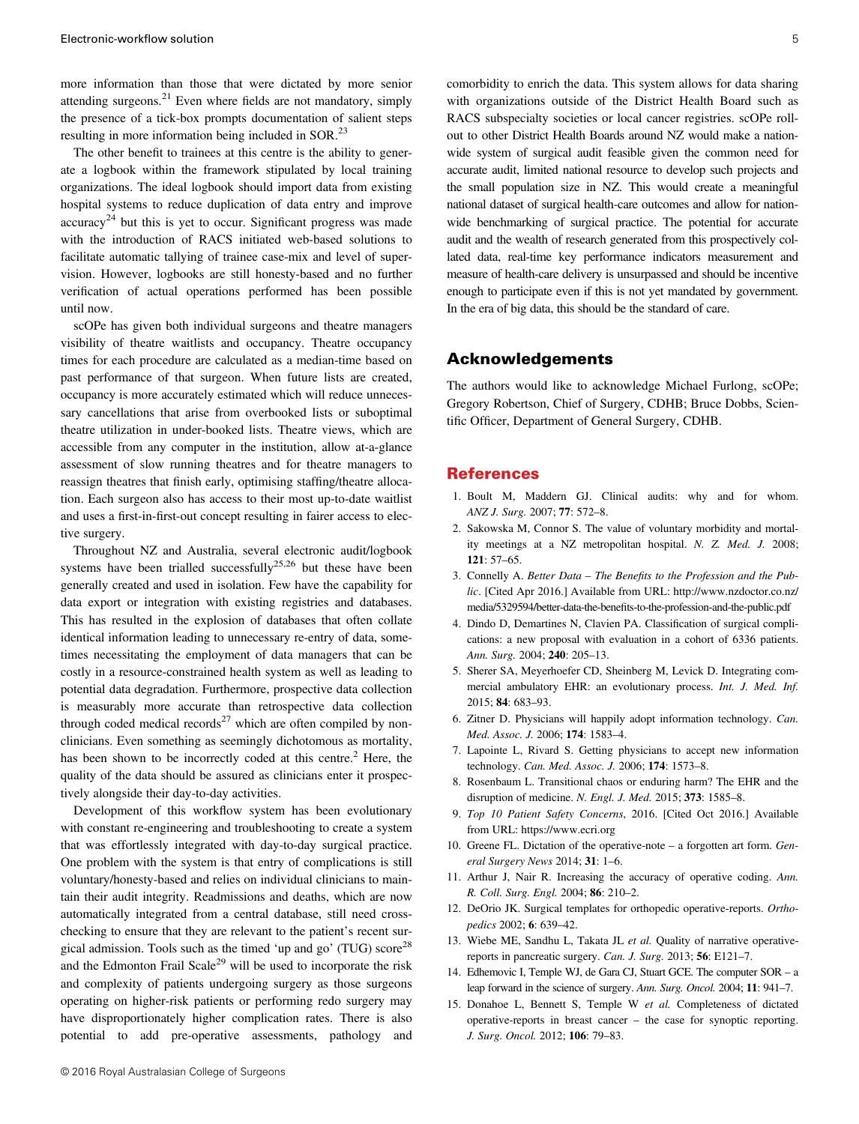more information than those that were dictated by more senior attending surgeons.<sup>21</sup> Even where fields are not mandatory, simply the presence of a tick-box prompts documentation of salient steps resulting in more information being included in SOR.<sup>23</sup>

The other benefit to trainees at this centre is the ability to generate a logbook within the framework stipulated by local training organizations. The ideal logbook should import data from existing hospital systems to reduce duplication of data entry and improve  $\arccuracy^{24}$  but this is yet to occur. Significant progress was made with the introduction of RACS initiated web-based solutions to facilitate automatic tallying of trainee case-mix and level of supervision. However, logbooks are still honesty-based and no further verification of actual operations performed has been possible until now.

scOPe has given both individual surgeons and theatre managers visibility of theatre waitlists and occupancy. Theatre occupancy times for each procedure are calculated as a median-time based on past performance of that surgeon. When future lists are created, occupancy is more accurately estimated which will reduce unnecessary cancellations that arise from overbooked lists or suboptimal theatre utilization in under-booked lists. Theatre views, which are accessible from any computer in the institution, allow at-a-glance assessment of slow running theatres and for theatre managers to reassign theatres that finish early, optimising staffing/theatre allocation. Each surgeon also has access to their most up-to-date waitlist and uses a first-in-first-out concept resulting in fairer access to elective surgery.

Throughout NZ and Australia, several electronic audit/logbook systems have been trialled successfully<sup>25,26</sup> but these have been generally created and used in isolation. Few have the capability for data export or integration with existing registries and databases. This has resulted in the explosion of databases that often collate identical information leading to unnecessary re-entry of data, sometimes necessitating the employment of data managers that can be costly in a resource-constrained health system as well as leading to potential data degradation. Furthermore, prospective data collection is measurably more accurate than retrospective data collection through coded medical records<sup>27</sup> which are often compiled by nonclinicians. Even something as seemingly dichotomous as mortality, has been shown to be incorrectly coded at this centre.<sup>2</sup> Here, the quality of the data should be assured as clinicians enter it prospectively alongside their day-to-day activities.

Development of this workflow system has been evolutionary with constant re-engineering and troubleshooting to create a system that was effortlessly integrated with day-to-day surgical practice. One problem with the system is that entry of complications is still voluntary/honesty-based and relies on individual clinicians to maintain their audit integrity. Readmissions and deaths, which are now automatically integrated from a central database, still need crosschecking to ensure that they are relevant to the patient's recent surgical admission. Tools such as the timed 'up and go' (TUG) score<sup>28</sup> and the Edmonton Frail Scale<sup>29</sup> will be used to incorporate the risk and complexity of patients undergoing surgery as those surgeons operating on higher-risk patients or performing redo surgery may have disproportionately higher complication rates. There is also potential to add pre-operative assessments, pathology and comorbidity to enrich the data. This system allows for data sharing with organizations outside of the District Health Board such as RACS subspecialty societies or local cancer registries. scOPe rollout to other District Health Boards around NZ would make a nationwide system of surgical audit feasible given the common need for accurate audit, limited national resource to develop such projects and the small population size in NZ. This would create a meaningful national dataset of surgical health-care outcomes and allow for nationwide benchmarking of surgical practice. The potential for accurate audit and the wealth of research generated from this prospectively collated data, real-time key performance indicators measurement and measure of health-care delivery is unsurpassed and should be incentive enough to participate even if this is not yet mandated by government. In the era of big data, this should be the standard of care.

#### Acknowledgements

The authors would like to acknowledge Michael Furlong, scOPe; Gregory Robertson, Chief of Surgery, CDHB; Bruce Dobbs, Scientific Officer, Department of General Surgery, CDHB.

#### References

- 1. Boult M, Maddern GJ. Clinical audits: why and for whom. *ANZ J. Surg.* 2007; **77**: 572–8.
- 2. Sakowska M, Connor S. The value of voluntary morbidity and mortality meetings at a NZ metropolitan hospital. *N. Z. Med. J.* 2008; **121**: 57–65.
- 3. Connelly A. *Better Data – The Benefits to the Profession and the Public*. [Cited Apr 2016.] Available from URL: [http://www.nzdoctor.co.nz/](http://www.nzdoctor.co.nz/media/5329594/better-data-the-benefits-to-the-profession-and-the-public.pdf) media/5329594/better-data-the-benefi[ts-to-the-profession-and-the-public.pdf](http://www.nzdoctor.co.nz/media/5329594/better-data-the-benefits-to-the-profession-and-the-public.pdf)
- 4. Dindo D, Demartines N, Clavien PA. Classification of surgical complications: a new proposal with evaluation in a cohort of 6336 patients. *Ann. Surg.* 2004; **240**: 205–13.
- 5. Sherer SA, Meyerhoefer CD, Sheinberg M, Levick D. Integrating commercial ambulatory EHR: an evolutionary process. *Int. J. Med. Inf.* 2015; **84**: 683–93.
- 6. Zitner D. Physicians will happily adopt information technology. *Can. Med. Assoc. J.* 2006; **174**: 1583–4.
- 7. Lapointe L, Rivard S. Getting physicians to accept new information technology. *Can. Med. Assoc. J.* 2006; **174**: 1573–8.
- 8. Rosenbaum L. Transitional chaos or enduring harm? The EHR and the disruption of medicine. *N. Engl. J. Med.* 2015; **373**: 1585–8.
- 9. *Top 10 Patient Safety Concerns*, 2016. [Cited Oct 2016.] Available from URL:<https://www.ecri.org>
- 10. Greene FL. Dictation of the operative-note a forgotten art form. *General Surgery News* 2014; **31**: 1–6.
- 11. Arthur J, Nair R. Increasing the accuracy of operative coding. *Ann. R. Coll. Surg. Engl.* 2004; **86**: 210–2.
- 12. DeOrio JK. Surgical templates for orthopedic operative-reports. *Orthopedics* 2002; **6**: 639–42.
- 13. Wiebe ME, Sandhu L, Takata JL *et al.* Quality of narrative operativereports in pancreatic surgery. *Can. J. Surg.* 2013; **56**: E121–7.
- 14. Edhemovic I, Temple WJ, de Gara CJ, Stuart GCE. The computer SOR a leap forward in the science of surgery. *Ann. Surg. Oncol.* 2004; **11**: 941–7.
- 15. Donahoe L, Bennett S, Temple W *et al.* Completeness of dictated operative-reports in breast cancer – the case for synoptic reporting. *J. Surg. Oncol.* 2012; **106**: 79–83.